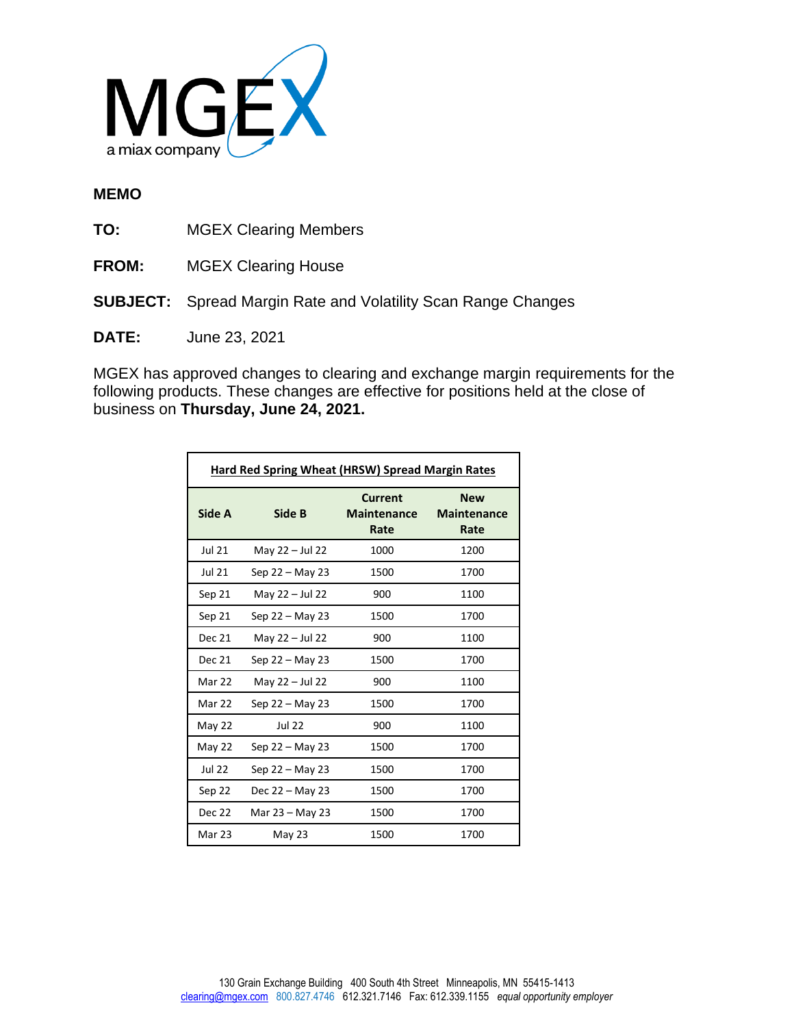

## **MEMO**

**TO:** MGEX Clearing Members

- **FROM:** MGEX Clearing House
- **SUBJECT:** Spread Margin Rate and Volatility Scan Range Changes
- **DATE:** June 23, 2021

MGEX has approved changes to clearing and exchange margin requirements for the following products. These changes are effective for positions held at the close of business on **Thursday, June 24, 2021.**

| <b>Hard Red Spring Wheat (HRSW) Spread Margin Rates</b> |                   |                                              |                                          |  |  |
|---------------------------------------------------------|-------------------|----------------------------------------------|------------------------------------------|--|--|
| Side A                                                  | Side B            | <b>Current</b><br><b>Maintenance</b><br>Rate | <b>New</b><br><b>Maintenance</b><br>Rate |  |  |
| <b>Jul 21</b>                                           | May 22 - Jul 22   | 1000                                         | 1200                                     |  |  |
| <b>Jul 21</b>                                           | Sep 22 - May 23   | 1500                                         | 1700                                     |  |  |
| Sep 21                                                  | May 22 - Jul 22   | 900                                          | 1100                                     |  |  |
| Sep 21                                                  | Sep 22 - May 23   | 1500                                         | 1700                                     |  |  |
| <b>Dec 21</b>                                           | May $22 -$ Jul 22 | 900                                          | 1100                                     |  |  |
| <b>Dec 21</b>                                           | Sep 22 – May 23   | 1500                                         | 1700                                     |  |  |
| Mar 22                                                  | May 22 - Jul 22   | 900                                          | 1100                                     |  |  |
| Mar 22                                                  | Sep $22 - May 23$ | 1500                                         | 1700                                     |  |  |
| May 22                                                  | <b>Jul 22</b>     | 900                                          | 1100                                     |  |  |
| May 22                                                  | Sep 22 - May 23   | 1500                                         | 1700                                     |  |  |
| <b>Jul 22</b>                                           | Sep $22 -$ May 23 | 1500                                         | 1700                                     |  |  |
| Sep 22                                                  | Dec $22 -$ May 23 | 1500                                         | 1700                                     |  |  |
| Dec 22                                                  | Mar 23 - May 23   | 1500                                         | 1700                                     |  |  |
| Mar 23                                                  | May 23            | 1500                                         | 1700                                     |  |  |